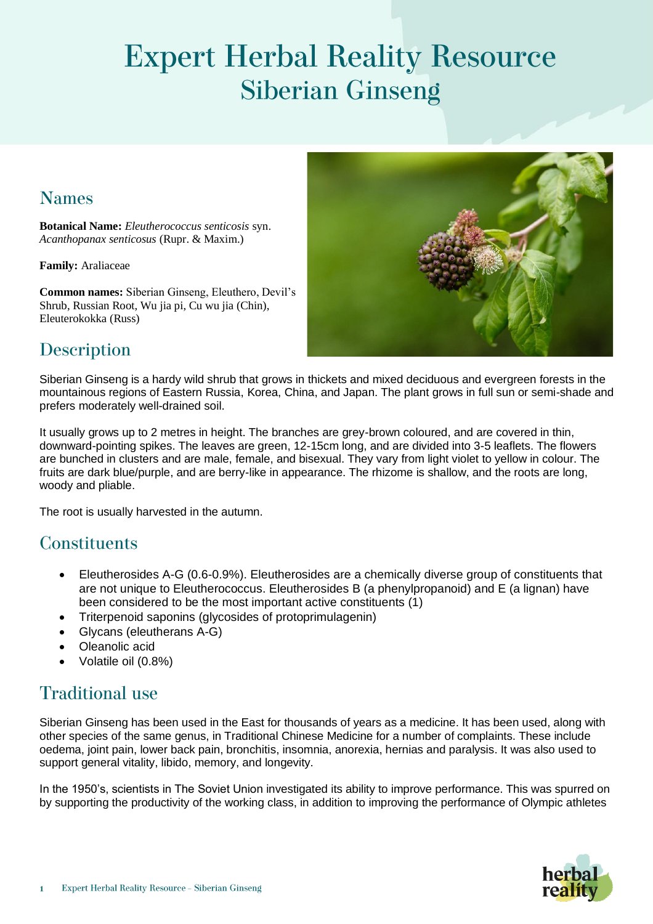# **Expert Herbal Reality Resource Siberian Ginseng**

### **Names**

**Botanical Name:** *Eleutherococcus senticosis* syn. *Acanthopanax senticosus* (Rupr. & Maxim.)

**Family:** Araliaceae

**Common names:** Siberian Ginseng, Eleuthero, Devil's Shrub, Russian Root, Wu jia pi, Cu wu jia (Chin), Eleuterokokka (Russ)



# Description

Siberian Ginseng is a hardy wild shrub that grows in thickets and mixed deciduous and evergreen forests in the mountainous regions of Eastern Russia, Korea, China, and Japan. The plant grows in full sun or semi-shade and prefers moderately well-drained soil.

It usually grows up to 2 metres in height. The branches are grey-brown coloured, and are covered in thin, downward-pointing spikes. The leaves are green, 12-15cm long, and are divided into 3-5 leaflets. The flowers are bunched in clusters and are male, female, and bisexual. They vary from light violet to yellow in colour. The fruits are dark blue/purple, and are berry-like in appearance. The rhizome is shallow, and the roots are long, woody and pliable.

The root is usually harvested in the autumn.

#### **Constituents**

- Eleutherosides A-G (0.6-0.9%). Eleutherosides are a chemically diverse group of constituents that are not unique to Eleutherococcus. Eleutherosides B (a phenylpropanoid) and E (a lignan) have been considered to be the most important active constituents (1)
- Triterpenoid saponins (glycosides of protoprimulagenin)
- Glycans (eleutherans A-G)
- Oleanolic acid
- Volatile oil (0.8%)

# **Traditional use**

Siberian Ginseng has been used in the East for thousands of years as a medicine. It has been used, along with other species of the same genus, in Traditional Chinese Medicine for a number of complaints. These include oedema, joint pain, lower back pain, bronchitis, insomnia, anorexia, hernias and paralysis. It was also used to support general vitality, libido, memory, and longevity.

In the 1950's, scientists in The Soviet Union investigated its ability to improve performance. This was spurred on by supporting the productivity of the working class, in addition to improving the performance of Olympic athletes

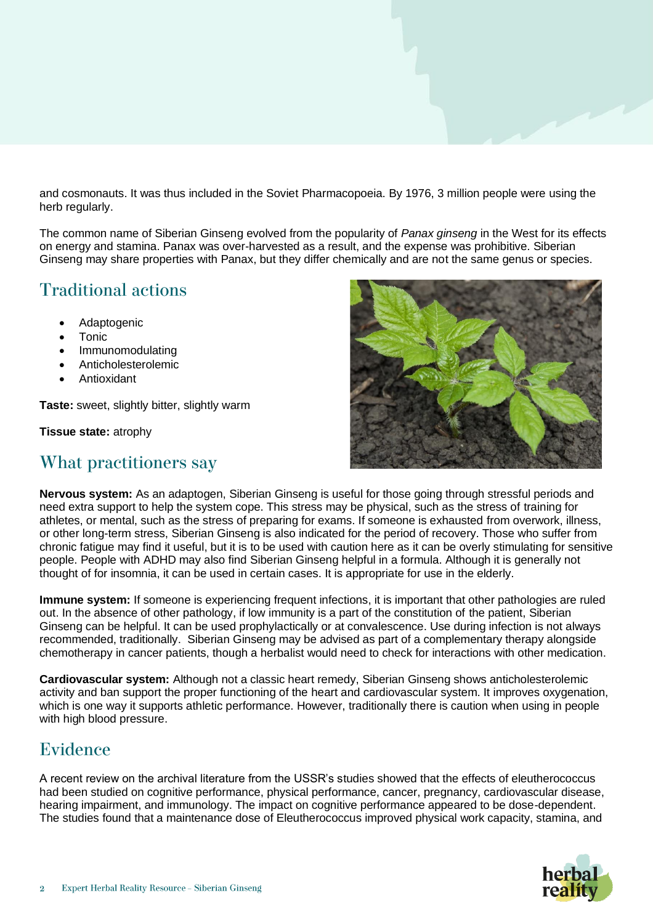and cosmonauts. It was thus included in the Soviet Pharmacopoeia. By 1976, 3 million people were using the herb regularly.

The common name of Siberian Ginseng evolved from the popularity of *Panax ginseng* in the West for its effects on energy and stamina. Panax was over-harvested as a result, and the expense was prohibitive. Siberian Ginseng may share properties with Panax, but they differ chemically and are not the same genus or species.

# **Traditional actions**

- **Adaptogenic**
- **Tonic**
- Immunomodulating
- Anticholesterolemic
- **Antioxidant**

**Taste:** sweet, slightly bitter, slightly warm

**Tissue state:** atrophy

#### What practitioners say



**Nervous system:** As an adaptogen, Siberian Ginseng is useful for those going through stressful periods and need extra support to help the system cope. This stress may be physical, such as the stress of training for athletes, or mental, such as the stress of preparing for exams. If someone is exhausted from overwork, illness, or other long-term stress, Siberian Ginseng is also indicated for the period of recovery. Those who suffer from chronic fatigue may find it useful, but it is to be used with caution here as it can be overly stimulating for sensitive people. People with ADHD may also find Siberian Ginseng helpful in a formula. Although it is generally not thought of for insomnia, it can be used in certain cases. It is appropriate for use in the elderly.

**Immune system:** If someone is experiencing frequent infections, it is important that other pathologies are ruled out. In the absence of other pathology, if low immunity is a part of the constitution of the patient, Siberian Ginseng can be helpful. It can be used prophylactically or at convalescence. Use during infection is not always recommended, traditionally. Siberian Ginseng may be advised as part of a complementary therapy alongside chemotherapy in cancer patients, though a herbalist would need to check for interactions with other medication.

**Cardiovascular system:** Although not a classic heart remedy, Siberian Ginseng shows anticholesterolemic activity and ban support the proper functioning of the heart and cardiovascular system. It improves oxygenation, which is one way it supports athletic performance. However, traditionally there is caution when using in people with high blood pressure.

#### Evidence

A recent review on the archival literature from the USSR's studies showed that the effects of eleutherococcus had been studied on cognitive performance, physical performance, cancer, pregnancy, cardiovascular disease, hearing impairment, and immunology. The impact on cognitive performance appeared to be dose-dependent. The studies found that a maintenance dose of Eleutherococcus improved physical work capacity, stamina, and

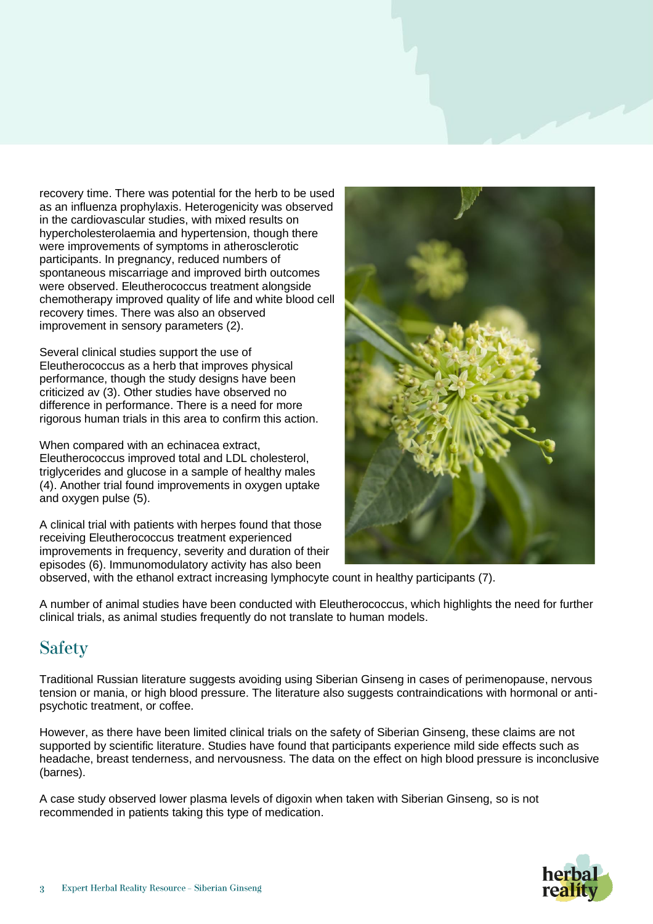recovery time. There was potential for the herb to be used as an influenza prophylaxis. Heterogenicity was observed in the cardiovascular studies, with mixed results on hypercholesterolaemia and hypertension, though there were improvements of symptoms in atherosclerotic participants. In pregnancy, reduced numbers of spontaneous miscarriage and improved birth outcomes were observed. Eleutherococcus treatment alongside chemotherapy improved quality of life and white blood cell recovery times. There was also an observed improvement in sensory parameters (2).

Several clinical studies support the use of Eleutherococcus as a herb that improves physical performance, though the study designs have been criticized av (3). Other studies have observed no difference in performance. There is a need for more rigorous human trials in this area to confirm this action.

When compared with an echinacea extract, Eleutherococcus improved total and LDL cholesterol, triglycerides and glucose in a sample of healthy males (4). Another trial found improvements in oxygen uptake and oxygen pulse (5).

A clinical trial with patients with herpes found that those receiving Eleutherococcus treatment experienced improvements in frequency, severity and duration of their episodes (6). Immunomodulatory activity has also been



observed, with the ethanol extract increasing lymphocyte count in healthy participants (7).

A number of animal studies have been conducted with Eleutherococcus, which highlights the need for further clinical trials, as animal studies frequently do not translate to human models.

# **Safety**

Traditional Russian literature suggests avoiding using Siberian Ginseng in cases of perimenopause, nervous tension or mania, or high blood pressure. The literature also suggests contraindications with hormonal or antipsychotic treatment, or coffee.

However, as there have been limited clinical trials on the safety of Siberian Ginseng, these claims are not supported by scientific literature. Studies have found that participants experience mild side effects such as headache, breast tenderness, and nervousness. The data on the effect on high blood pressure is inconclusive (barnes).

A case study observed lower plasma levels of digoxin when taken with Siberian Ginseng, so is not recommended in patients taking this type of medication.